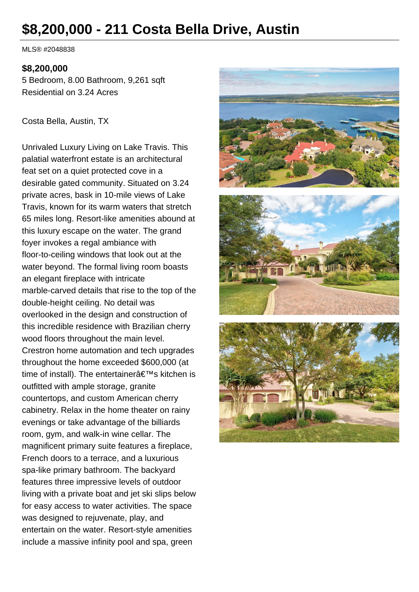# **\$8,200,000 - 211 Costa Bella Drive, Austin**

MLS® #2048838

#### **\$8,200,000**

5 Bedroom, 8.00 Bathroom, 9,261 sqft Residential on 3.24 Acres

Costa Bella, Austin, TX

Unrivaled Luxury Living on Lake Travis. This palatial waterfront estate is an architectural feat set on a quiet protected cove in a desirable gated community. Situated on 3.24 private acres, bask in 10-mile views of Lake Travis, known for its warm waters that stretch 65 miles long. Resort-like amenities abound at this luxury escape on the water. The grand foyer invokes a regal ambiance with floor-to-ceiling windows that look out at the water beyond. The formal living room boasts an elegant fireplace with intricate marble-carved details that rise to the top of the double-height ceiling. No detail was overlooked in the design and construction of this incredible residence with Brazilian cherry wood floors throughout the main level. Crestron home automation and tech upgrades throughout the home exceeded \$600,000 (at time of install). The entertainer $\hat{a} \in \text{TM}$ s kitchen is outfitted with ample storage, granite countertops, and custom American cherry cabinetry. Relax in the home theater on rainy evenings or take advantage of the billiards room, gym, and walk-in wine cellar. The magnificent primary suite features a fireplace, French doors to a terrace, and a luxurious spa-like primary bathroom. The backyard features three impressive levels of outdoor living with a private boat and jet ski slips below for easy access to water activities. The space was designed to rejuvenate, play, and entertain on the water. Resort-style amenities include a massive infinity pool and spa, green

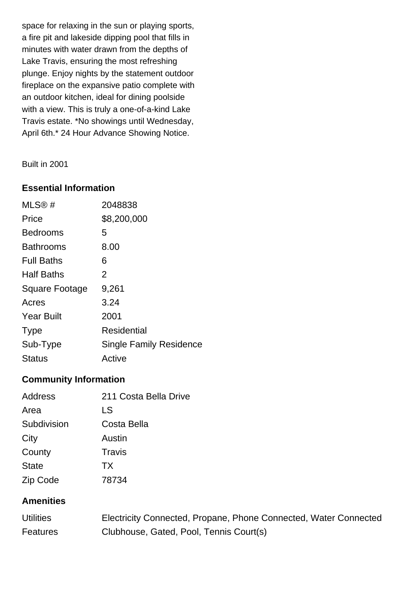space for relaxing in the sun or playing sports, a fire pit and lakeside dipping pool that fills in minutes with water drawn from the depths of Lake Travis, ensuring the most refreshing plunge. Enjoy nights by the statement outdoor fireplace on the expansive patio complete with an outdoor kitchen, ideal for dining poolside with a view. This is truly a one-of-a-kind Lake Travis estate. \*No showings until Wednesday, April 6th.\* 24 Hour Advance Showing Notice.

#### Built in 2001

#### **Essential Information**

| MLS@#                 | 2048838                        |
|-----------------------|--------------------------------|
| Price                 | \$8,200,000                    |
| <b>Bedrooms</b>       | 5                              |
| <b>Bathrooms</b>      | 8.00                           |
| <b>Full Baths</b>     | 6                              |
| <b>Half Baths</b>     | $\overline{2}$                 |
| <b>Square Footage</b> | 9,261                          |
| Acres                 | 3.24                           |
| <b>Year Built</b>     | 2001                           |
| <b>Type</b>           | Residential                    |
| Sub-Type              | <b>Single Family Residence</b> |
| <b>Status</b>         | Active                         |

## **Community Information**

| Address      | 211 Costa Bella Drive |
|--------------|-----------------------|
| Area         | LS                    |
| Subdivision  | Costa Bella           |
| City         | Austin                |
| County       | Travis                |
| <b>State</b> | <b>TX</b>             |
| Zip Code     | 78734                 |

### **Amenities**

| <b>Utilities</b> | Electricity Connected, Propane, Phone Connected, Water Connected |
|------------------|------------------------------------------------------------------|
| <b>Features</b>  | Clubhouse, Gated, Pool, Tennis Court(s)                          |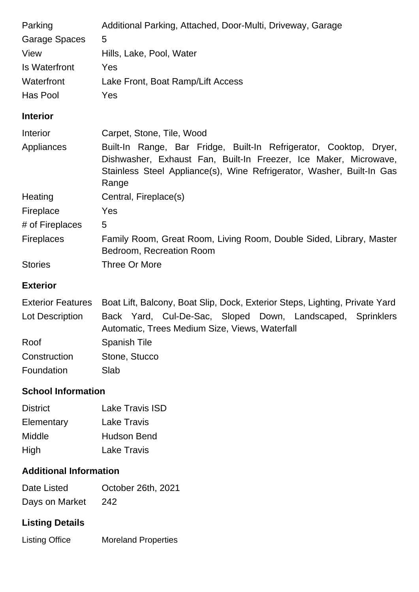| Parking              | Additional Parking, Attached, Door-Multi, Driveway, Garage                                                                                                                                                               |
|----------------------|--------------------------------------------------------------------------------------------------------------------------------------------------------------------------------------------------------------------------|
| <b>Garage Spaces</b> | 5                                                                                                                                                                                                                        |
| View                 | Hills, Lake, Pool, Water                                                                                                                                                                                                 |
| <b>Is Waterfront</b> | Yes                                                                                                                                                                                                                      |
| Waterfront           | Lake Front, Boat Ramp/Lift Access                                                                                                                                                                                        |
| Has Pool             | Yes                                                                                                                                                                                                                      |
| <b>Interior</b>      |                                                                                                                                                                                                                          |
| Interior             | Carpet, Stone, Tile, Wood                                                                                                                                                                                                |
| Appliances           | Built-In Range, Bar Fridge, Built-In Refrigerator, Cooktop, Dryer,<br>Dishwasher, Exhaust Fan, Built-In Freezer, Ice Maker, Microwave,<br>Stainless Steel Appliance(s), Wine Refrigerator, Washer, Built-In Gas<br>Range |
| Heating              | Central, Fireplace(s)                                                                                                                                                                                                    |
| Fireplace            | Yes                                                                                                                                                                                                                      |
| # of Fireplaces      | 5                                                                                                                                                                                                                        |
| <b>Fireplaces</b>    | Family Room, Great Room, Living Room, Double Sided, Library, Master<br>Bedroom, Recreation Room                                                                                                                          |
| <b>Stories</b>       | Three Or More                                                                                                                                                                                                            |
| <b>Exterior</b>      |                                                                                                                                                                                                                          |
|                      |                                                                                                                                                                                                                          |

|                 | Exterior Features Boat Lift, Balcony, Boat Slip, Dock, Exterior Steps, Lighting, Private Yard |
|-----------------|-----------------------------------------------------------------------------------------------|
| Lot Description | Back Yard, Cul-De-Sac, Sloped Down, Landscaped, Sprinklers                                    |
|                 | Automatic, Trees Medium Size, Views, Waterfall                                                |
| Roof            | <b>Spanish Tile</b>                                                                           |
| Construction    | Stone, Stucco                                                                                 |
| Foundation      | Slab                                                                                          |

## **School Information**

| Lake Travis ISD    |
|--------------------|
| <b>Lake Travis</b> |
| <b>Hudson Bend</b> |
| <b>Lake Travis</b> |
|                    |

## **Additional Information**

| Date Listed    | October 26th, 2021 |
|----------------|--------------------|
| Days on Market | 242                |

# **Listing Details**

Listing Office Moreland Properties